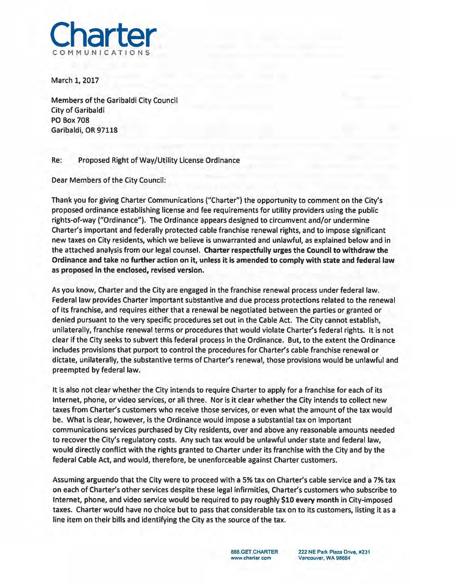

March 1, 2017

Members of the Garibaldi City Council City of Garibaldi PO Box 708 Garibaldi, OR 97118

Re: Proposed Right of Way/Utility License Ordinance

Dear Members of the City Council:

Thank you for giving Charter Communications ("Charter") the opportunity to comment on the City's proposed ordinance establishing license and fee requirements for utility providers using the public rights-of-way ("Ordinance"). The Ordinance appears designed to circumvent and/or undermine Charter's important and federally protected cable franchise renewal rights, and to impose significant new taxes on City residents, which we believe is unwarranted and unlawful, as explained below and in the attached analysis from our legal counsel. Charter respectfully urges the Council to withdraw the Ordinance and take no further action on it, unless it is amended to comply with state and federal law as proposed in the enclosed, revised version.

As you know, Charter and the City are engaged in the franchise renewal process under federal law. Federal law provides Charter important substantive and due process protections related to the renewal of its franchise, and requires either that a renewal be negotiated between the parties or granted or denied pursuant to the very specific procedures set out in the Cable Act. The City cannot establish, unilaterally, franchise renewal terms or procedures that would violate Charter's federal rights. It is not clear if the City seeks to subvert this federal process in the Ordinance. But, to the extent the Ordinance includes provisions that purport to control the procedures for Charter's cable franchise renewal or dictate, unilaterally, the substantive terms of Charter's renewal, those provisions would be unlawful and preempted by federal law.

It is also not clear whether the City intends to require Charter to apply for a franchise for each of its Internet, phone, or video services, or all three. Nor is it clear whether the City intends to collect new taxes from Charter's customers who receive those services, or even what the amount of the tax would be. What is clear, however, is the Ordinance would impose a substantial tax on important communications services purchased by City residents, over and above any reasonable amounts needed to recover the City's regulatory costs. Any such tax would be unlawful under state and federal law, would directly conflict with the rights granted to Charter under its franchise with the City and by the federal Cable Act, and would, therefore, be unenforceable against Charter customers.

Assuming arguendo that the City were to proceed with a 5% tax on Charter's cable service and a 7% tax on each of Charter's other services despite these legal infirmities, Charter's customers who subscribe to Internet, phone, and video service would be required to pay roughly \$10 every month in City-imposed taxes. Charter would have no choice but to pass that considerable tax on to its customers, listing it as a line item on their bills and identifying the City as the source of the tax.

> BBB.GET.CHARTER **www.charter.com**

**222 NE Park Plaza Drive, #231 Vancouver, WA 98684**